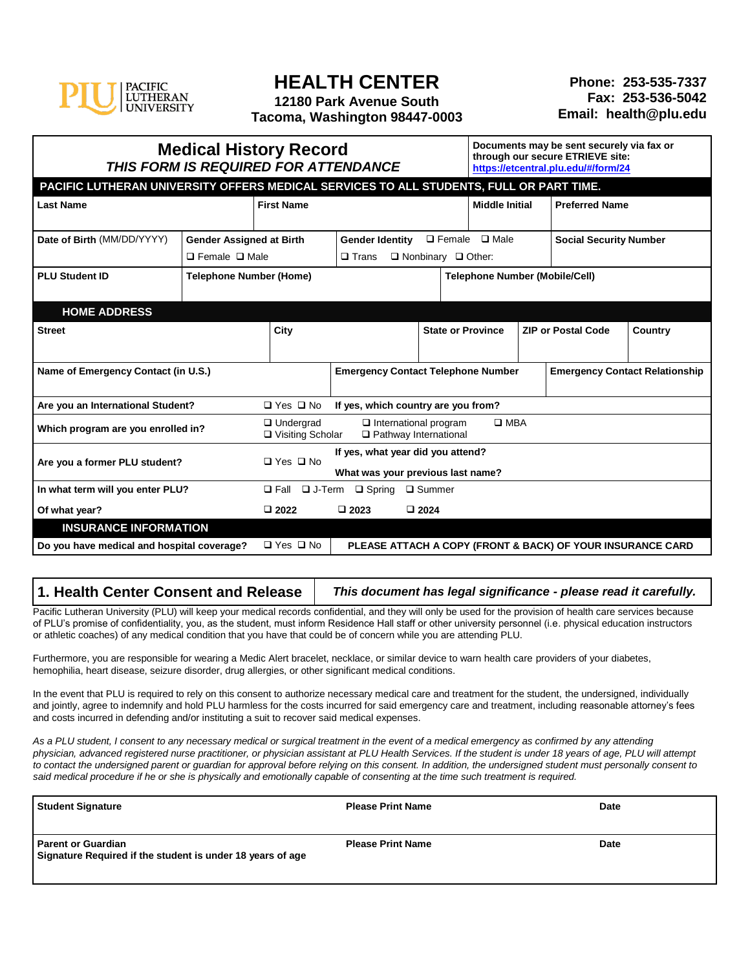

## **HEALTH CENTER**

**12180 Park Avenue South Tacoma, Washington 98447-0003**

| <b>Medical History Record</b><br>THIS FORM IS REQUIRED FOR ATTENDANCE |                                                                                         |                                         |                                                                                              |                                       |                                                 | Documents may be sent securely via fax or<br>through our secure ETRIEVE site:<br>https://etcentral.plu.edu/#/form/24 |  |                                                            |                                       |
|-----------------------------------------------------------------------|-----------------------------------------------------------------------------------------|-----------------------------------------|----------------------------------------------------------------------------------------------|---------------------------------------|-------------------------------------------------|----------------------------------------------------------------------------------------------------------------------|--|------------------------------------------------------------|---------------------------------------|
|                                                                       | PACIFIC LUTHERAN UNIVERSITY OFFERS MEDICAL SERVICES TO ALL STUDENTS, FULL OR PART TIME. |                                         |                                                                                              |                                       |                                                 |                                                                                                                      |  |                                                            |                                       |
| <b>Last Name</b>                                                      |                                                                                         | <b>First Name</b>                       |                                                                                              |                                       |                                                 | <b>Middle Initial</b>                                                                                                |  | <b>Preferred Name</b>                                      |                                       |
| Date of Birth (MM/DD/YYYY)                                            | <b>Gender Assigned at Birth</b><br>$\Box$ Female $\Box$ Male                            |                                         | $\square$ Female<br><b>Gender Identity</b><br>$\Box$ Nonbinary $\Box$ Other:<br>$\Box$ Trans |                                       | $\square$ Male<br><b>Social Security Number</b> |                                                                                                                      |  |                                                            |                                       |
| <b>PLU Student ID</b>                                                 | <b>Telephone Number (Home)</b>                                                          |                                         |                                                                                              | <b>Telephone Number (Mobile/Cell)</b> |                                                 |                                                                                                                      |  |                                                            |                                       |
| <b>HOME ADDRESS</b>                                                   |                                                                                         |                                         |                                                                                              |                                       |                                                 |                                                                                                                      |  |                                                            |                                       |
| <b>Street</b>                                                         |                                                                                         | City                                    | <b>State or Province</b>                                                                     |                                       |                                                 |                                                                                                                      |  | <b>ZIP or Postal Code</b>                                  | Country                               |
| Name of Emergency Contact (in U.S.)                                   |                                                                                         |                                         | <b>Emergency Contact Telephone Number</b>                                                    |                                       |                                                 |                                                                                                                      |  |                                                            | <b>Emergency Contact Relationship</b> |
| Are you an International Student?                                     |                                                                                         | □ Yes □ No                              | If yes, which country are you from?                                                          |                                       |                                                 |                                                                                                                      |  |                                                            |                                       |
| Which program are you enrolled in?                                    |                                                                                         | $\Box$ Undergrad<br>□ Visiting Scholar  | $\Box$ International program<br>□ Pathway International                                      |                                       |                                                 | $\square$ MBA                                                                                                        |  |                                                            |                                       |
| Are you a former PLU student?                                         |                                                                                         | $\Box$ Yes $\Box$ No                    | If yes, what year did you attend?<br>What was your previous last name?                       |                                       |                                                 |                                                                                                                      |  |                                                            |                                       |
| In what term will you enter PLU?                                      |                                                                                         | $\Box$ Fall $\Box$ J-Term $\Box$ Spring |                                                                                              | $\square$ Summer                      |                                                 |                                                                                                                      |  |                                                            |                                       |
| Of what year?                                                         |                                                                                         | $\square$ 2022                          | $\square$ 2023                                                                               | $\square$ 2024                        |                                                 |                                                                                                                      |  |                                                            |                                       |
| <b>INSURANCE INFORMATION</b>                                          |                                                                                         |                                         |                                                                                              |                                       |                                                 |                                                                                                                      |  |                                                            |                                       |
| Do you have medical and hospital coverage?                            |                                                                                         | $\Box$ Yes $\Box$ No                    |                                                                                              |                                       |                                                 |                                                                                                                      |  | PLEASE ATTACH A COPY (FRONT & BACK) OF YOUR INSURANCE CARD |                                       |

## **1. Health Center Consent and Release** *This document has legal significance - please read it carefully.*

Pacific Lutheran University (PLU) will keep your medical records confidential, and they will only be used for the provision of health care services because of PLU's promise of confidentiality, you, as the student, must inform Residence Hall staff or other university personnel (i.e. physical education instructors or athletic coaches) of any medical condition that you have that could be of concern while you are attending PLU.

Furthermore, you are responsible for wearing a Medic Alert bracelet, necklace, or similar device to warn health care providers of your diabetes, hemophilia, heart disease, seizure disorder, drug allergies, or other significant medical conditions.

In the event that PLU is required to rely on this consent to authorize necessary medical care and treatment for the student, the undersigned, individually and jointly, agree to indemnify and hold PLU harmless for the costs incurred for said emergency care and treatment, including reasonable attorney's fees and costs incurred in defending and/or instituting a suit to recover said medical expenses.

As a PLU student, I consent to any necessary medical or surgical treatment in the event of a medical emergency as confirmed by any attending *physician, advanced registered nurse practitioner, or physician assistant at PLU Health Services. If the student is under 18 years of age, PLU will attempt to contact the undersigned parent or guardian for approval before relying on this consent. In addition, the undersigned student must personally consent to said medical procedure if he or she is physically and emotionally capable of consenting at the time such treatment is required.*

| <b>Student Signature</b>                                                                | <b>Please Print Name</b> | <b>Date</b> |
|-----------------------------------------------------------------------------------------|--------------------------|-------------|
| <b>Parent or Guardian</b><br>Signature Required if the student is under 18 years of age | <b>Please Print Name</b> | <b>Date</b> |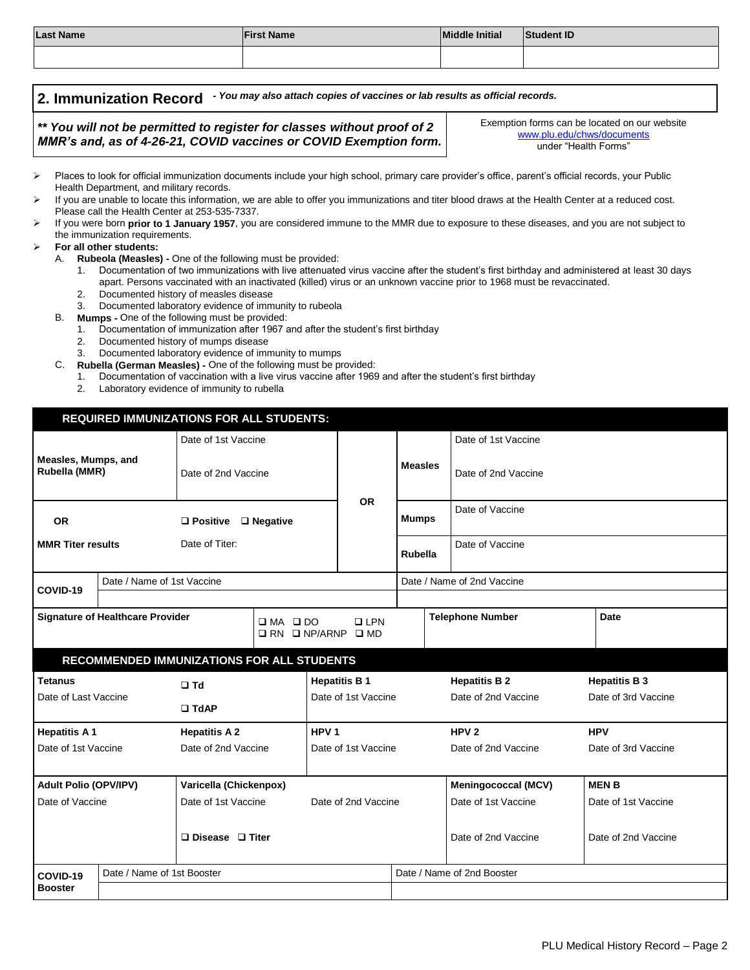| <b>Last Name</b>                                                                                                                                                                                                                                             | <b>Student ID</b>                                                                                                                                                                                                                                                                                                                                                                                                                                                                                                                                                                                                                                                                                                                                                                                                                                                                                                                                                                                                                                                                                                                                                                                                     |                           |                 |                                                                                                                                            |  |  |
|--------------------------------------------------------------------------------------------------------------------------------------------------------------------------------------------------------------------------------------------------------------|-----------------------------------------------------------------------------------------------------------------------------------------------------------------------------------------------------------------------------------------------------------------------------------------------------------------------------------------------------------------------------------------------------------------------------------------------------------------------------------------------------------------------------------------------------------------------------------------------------------------------------------------------------------------------------------------------------------------------------------------------------------------------------------------------------------------------------------------------------------------------------------------------------------------------------------------------------------------------------------------------------------------------------------------------------------------------------------------------------------------------------------------------------------------------------------------------------------------------|---------------------------|-----------------|--------------------------------------------------------------------------------------------------------------------------------------------|--|--|
|                                                                                                                                                                                                                                                              |                                                                                                                                                                                                                                                                                                                                                                                                                                                                                                                                                                                                                                                                                                                                                                                                                                                                                                                                                                                                                                                                                                                                                                                                                       |                           |                 |                                                                                                                                            |  |  |
| 2. Immunization Record                                                                                                                                                                                                                                       | - You may also attach copies of vaccines or lab results as official records.<br>** You will not be permitted to register for classes without proof of 2<br>MMR's and, as of 4-26-21, COVID vaccines or COVID Exemption form.                                                                                                                                                                                                                                                                                                                                                                                                                                                                                                                                                                                                                                                                                                                                                                                                                                                                                                                                                                                          |                           |                 | Exemption forms can be located on our website<br>www.plu.edu/chws/documents<br>under "Health Forms"                                        |  |  |
| ⋗<br>Health Department, and military records.<br>↘<br>Please call the Health Center at 253-535-7337.<br>⋗<br>the immunization requirements.<br>For all other students:<br>↘<br>А.<br>2 <sup>1</sup><br>3.<br>В.<br>$1_{\cdot}$<br>2.<br>3.<br>C.<br>1.<br>2. | Places to look for official immunization documents include your high school, primary care provider's office, parent's official records, your Public<br>If you are unable to locate this information, we are able to offer you immunizations and titer blood draws at the Health Center at a reduced cost.<br>If you were born prior to 1 January 1957, you are considered immune to the MMR due to exposure to these diseases, and you are not subject to<br>Rubeola (Measles) - One of the following must be provided:<br>apart. Persons vaccinated with an inactivated (killed) virus or an unknown vaccine prior to 1968 must be revaccinated.<br>Documented history of measles disease<br>Documented laboratory evidence of immunity to rubeola<br>Mumps - One of the following must be provided:<br>Documentation of immunization after 1967 and after the student's first birthday<br>Documented history of mumps disease<br>Documented laboratory evidence of immunity to mumps<br>Rubella (German Measles) - One of the following must be provided:<br>Documentation of vaccination with a live virus vaccine after 1969 and after the student's first birthday<br>Laboratory evidence of immunity to rubella |                           |                 | Documentation of two immunizations with live attenuated virus vaccine after the student's first birthday and administered at least 30 days |  |  |
| <b>REQUIRED IMMUNIZATIONS FOR ALL STUDENTS:</b><br>Date of 1st Vaccine<br>Date of 1st Vaccine<br>Measles, Mumps, and<br><b>Measles</b><br>Rubella (MMR)<br>Date of 2nd Vaccine<br>Date of 2nd Vaccine                                                        |                                                                                                                                                                                                                                                                                                                                                                                                                                                                                                                                                                                                                                                                                                                                                                                                                                                                                                                                                                                                                                                                                                                                                                                                                       |                           |                 |                                                                                                                                            |  |  |
| <b>OR</b>                                                                                                                                                                                                                                                    | $\Box$ Positive $\Box$ Negative                                                                                                                                                                                                                                                                                                                                                                                                                                                                                                                                                                                                                                                                                                                                                                                                                                                                                                                                                                                                                                                                                                                                                                                       | <b>OR</b><br><b>Mumps</b> | Date of Vaccine |                                                                                                                                            |  |  |
| .                                                                                                                                                                                                                                                            | $\sim$ $\sim$                                                                                                                                                                                                                                                                                                                                                                                                                                                                                                                                                                                                                                                                                                                                                                                                                                                                                                                                                                                                                                                                                                                                                                                                         |                           |                 | $-1$ $-1$                                                                                                                                  |  |  |

| <b>OR</b>                                  |                                                         | $\square$ Positive          | $\Box$ Negative                            |                                                  | <b>Mumps</b>               |                            |                      |  |
|--------------------------------------------|---------------------------------------------------------|-----------------------------|--------------------------------------------|--------------------------------------------------|----------------------------|----------------------------|----------------------|--|
| <b>MMR Titer results</b>                   |                                                         | Date of Titer:              |                                            |                                                  | Rubella                    | Date of Vaccine            |                      |  |
| COVID-19                                   | Date / Name of 1st Vaccine                              |                             |                                            |                                                  | Date / Name of 2nd Vaccine |                            |                      |  |
|                                            |                                                         |                             |                                            |                                                  |                            |                            |                      |  |
|                                            | <b>Signature of Healthcare Provider</b><br>$\square$ MA |                             | $\square$ DO                               | $\Box$ LPN<br>$\Box$ RN $\Box$ NP/ARNP $\Box$ MD |                            | <b>Telephone Number</b>    | Date                 |  |
|                                            |                                                         |                             | RECOMMENDED IMMUNIZATIONS FOR ALL STUDENTS |                                                  |                            |                            |                      |  |
| <b>Tetanus</b>                             |                                                         | $\Box$ Td                   |                                            | <b>Hepatitis B1</b>                              |                            | <b>Hepatitis B 2</b>       | <b>Hepatitis B 3</b> |  |
| Date of Last Vaccine                       |                                                         |                             |                                            | Date of 1st Vaccine                              |                            | Date of 2nd Vaccine        | Date of 3rd Vaccine  |  |
|                                            |                                                         | $\Box$ TdAP                 |                                            |                                                  |                            |                            |                      |  |
| <b>Hepatitis A1</b>                        |                                                         | <b>Hepatitis A 2</b>        |                                            | HPV <sub>1</sub>                                 |                            | HPV <sub>2</sub>           | <b>HPV</b>           |  |
| Date of 2nd Vaccine<br>Date of 1st Vaccine |                                                         |                             | Date of 1st Vaccine                        |                                                  | Date of 2nd Vaccine        | Date of 3rd Vaccine        |                      |  |
|                                            |                                                         |                             |                                            |                                                  |                            |                            |                      |  |
| <b>Adult Polio (OPV/IPV)</b>               |                                                         | Varicella (Chickenpox)      |                                            |                                                  |                            | <b>Meningococcal (MCV)</b> | <b>MENB</b>          |  |
| Date of Vaccine<br>Date of 1st Vaccine     |                                                         |                             | Date of 2nd Vaccine                        |                                                  | Date of 1st Vaccine        | Date of 1st Vaccine        |                      |  |
|                                            |                                                         |                             |                                            |                                                  |                            |                            |                      |  |
|                                            |                                                         | $\Box$ Disease $\Box$ Titer |                                            |                                                  |                            | Date of 2nd Vaccine        | Date of 2nd Vaccine  |  |
|                                            |                                                         |                             |                                            |                                                  |                            |                            |                      |  |
| Date / Name of 1st Booster<br>COVID-19     |                                                         |                             |                                            |                                                  | Date / Name of 2nd Booster |                            |                      |  |
| <b>Booster</b>                             |                                                         |                             |                                            |                                                  |                            |                            |                      |  |
|                                            |                                                         |                             |                                            |                                                  |                            |                            |                      |  |